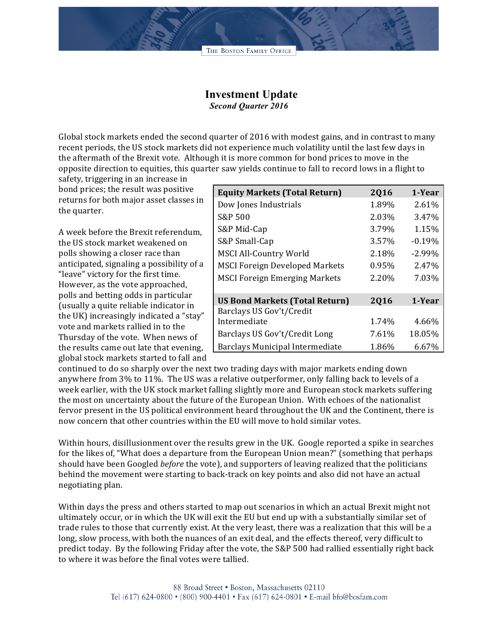## **Investment Update** *Second Quarter 2016*

Global stock markets ended the second quarter of 2016 with modest gains, and in contrast to many recent periods, the US stock markets did not experience much volatility until the last few days in the aftermath of the Brexit vote. Although it is more common for bond prices to move in the opposite direction to equities, this quarter saw yields continue to fall to record lows in a flight to

safety, triggering in an increase in bond prices; the result was positive returns for both major asset classes in the quarter.

A week before the Brexit referendum, the US stock market weakened on polls showing a closer race than anticipated, signaling a possibility of a "leave" victory for the first time. However, as the vote approached, polls and betting odds in particular (usually a quite reliable indicator in the UK) increasingly indicated a "stay" vote and markets rallied in to the Thursday of the vote. When news of the results came out late that evening, global stock markets started to fall and

| <b>Equity Markets (Total Return)</b>  | 2016  | 1-Year   |
|---------------------------------------|-------|----------|
| Dow Jones Industrials                 | 1.89% | 2.61%    |
| S&P 500                               | 2.03% | 3.47%    |
| S&P Mid-Cap                           | 3.79% | 1.15%    |
| S&P Small-Cap                         | 3.57% | $-0.19%$ |
| <b>MSCI All-Country World</b>         | 2.18% | $-2.99%$ |
| <b>MSCI Foreign Developed Markets</b> | 0.95% | 2.47%    |
| <b>MSCI Foreign Emerging Markets</b>  | 2.20% | 7.03%    |
| <b>US Bond Markets (Total Return)</b> | 2016  | 1-Year   |
| Barclays US Gov't/Credit              |       |          |
| Intermediate                          | 1.74% | 4.66%    |
| Barclays US Gov't/Credit Long         | 7.61% | 18.05%   |
| Barclays Municipal Intermediate       | 1.86% | 6.67%    |

continued to do so sharply over the next two trading days with major markets ending down anywhere from 3% to 11%. The US was a relative outperformer, only falling back to levels of a week earlier, with the UK stock market falling slightly more and European stock markets suffering the most on uncertainty about the future of the European Union. With echoes of the nationalist fervor present in the US political environment heard throughout the UK and the Continent, there is now concern that other countries within the EU will move to hold similar votes.

Within hours, disillusionment over the results grew in the UK. Google reported a spike in searches for the likes of, "What does a departure from the European Union mean?" (something that perhaps should have been Googled *before* the vote), and supporters of leaving realized that the politicians behind the movement were starting to back-track on key points and also did not have an actual negotiating plan.

Within days the press and others started to map out scenarios in which an actual Brexit might not ultimately occur, or in which the UK will exit the EU but end up with a substantially similar set of trade rules to those that currently exist. At the very least, there was a realization that this will be a long, slow process, with both the nuances of an exit deal, and the effects thereof, very difficult to predict today. By the following Friday after the vote, the S&P 500 had rallied essentially right back to where it was before the final votes were tallied.